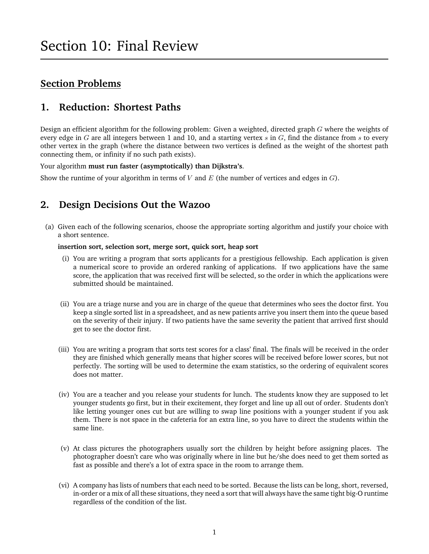# **Section Problems**

## **1. Reduction: Shortest Paths**

Design an efficient algorithm for the following problem: Given a weighted, directed graph G where the weights of every edge in  $G$  are all integers between 1 and 10, and a starting vertex  $s$  in  $G$ , find the distance from  $s$  to every other vertex in the graph (where the distance between two vertices is defined as the weight of the shortest path connecting them, or infinity if no such path exists).

Your algorithm **must run faster (asymptotically) than Dijkstra's**.

Show the runtime of your algorithm in terms of V and E (the number of vertices and edges in  $G$ ).

# **2. Design Decisions Out the Wazoo**

(a) Given each of the following scenarios, choose the appropriate sorting algorithm and justify your choice with a short sentence.

#### **insertion sort, selection sort, merge sort, quick sort, heap sort**

- (i) You are writing a program that sorts applicants for a prestigious fellowship. Each application is given a numerical score to provide an ordered ranking of applications. If two applications have the same score, the application that was received first will be selected, so the order in which the applications were submitted should be maintained.
- (ii) You are a triage nurse and you are in charge of the queue that determines who sees the doctor first. You keep a single sorted list in a spreadsheet, and as new patients arrive you insert them into the queue based on the severity of their injury. If two patients have the same severity the patient that arrived first should get to see the doctor first.
- (iii) You are writing a program that sorts test scores for a class' final. The finals will be received in the order they are finished which generally means that higher scores will be received before lower scores, but not perfectly. The sorting will be used to determine the exam statistics, so the ordering of equivalent scores does not matter.
- (iv) You are a teacher and you release your students for lunch. The students know they are supposed to let younger students go first, but in their excitement, they forget and line up all out of order. Students don't like letting younger ones cut but are willing to swap line positions with a younger student if you ask them. There is not space in the cafeteria for an extra line, so you have to direct the students within the same line.
- (v) At class pictures the photographers usually sort the children by height before assigning places. The photographer doesn't care who was originally where in line but he/she does need to get them sorted as fast as possible and there's a lot of extra space in the room to arrange them.
- (vi) A company has lists of numbers that each need to be sorted. Because the lists can be long, short, reversed, in-order or a mix of all these situations, they need a sort that will always have the same tight big-O runtime regardless of the condition of the list.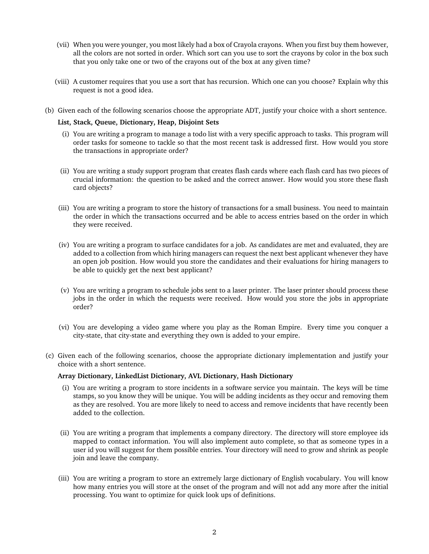- (vii) When you were younger, you most likely had a box of Crayola crayons. When you first buy them however, all the colors are not sorted in order. Which sort can you use to sort the crayons by color in the box such that you only take one or two of the crayons out of the box at any given time?
- (viii) A customer requires that you use a sort that has recursion. Which one can you choose? Explain why this request is not a good idea.
- (b) Given each of the following scenarios choose the appropriate ADT, justify your choice with a short sentence.

#### **List, Stack, Queue, Dictionary, Heap, Disjoint Sets**

- (i) You are writing a program to manage a todo list with a very specific approach to tasks. This program will order tasks for someone to tackle so that the most recent task is addressed first. How would you store the transactions in appropriate order?
- (ii) You are writing a study support program that creates flash cards where each flash card has two pieces of crucial information: the question to be asked and the correct answer. How would you store these flash card objects?
- (iii) You are writing a program to store the history of transactions for a small business. You need to maintain the order in which the transactions occurred and be able to access entries based on the order in which they were received.
- (iv) You are writing a program to surface candidates for a job. As candidates are met and evaluated, they are added to a collection from which hiring managers can request the next best applicant whenever they have an open job position. How would you store the candidates and their evaluations for hiring managers to be able to quickly get the next best applicant?
- (v) You are writing a program to schedule jobs sent to a laser printer. The laser printer should process these jobs in the order in which the requests were received. How would you store the jobs in appropriate order?
- (vi) You are developing a video game where you play as the Roman Empire. Every time you conquer a city-state, that city-state and everything they own is added to your empire.
- (c) Given each of the following scenarios, choose the appropriate dictionary implementation and justify your choice with a short sentence.

#### **Array Dictionary, LinkedList Dictionary, AVL Dictionary, Hash Dictionary**

- (i) You are writing a program to store incidents in a software service you maintain. The keys will be time stamps, so you know they will be unique. You will be adding incidents as they occur and removing them as they are resolved. You are more likely to need to access and remove incidents that have recently been added to the collection.
- (ii) You are writing a program that implements a company directory. The directory will store employee ids mapped to contact information. You will also implement auto complete, so that as someone types in a user id you will suggest for them possible entries. Your directory will need to grow and shrink as people join and leave the company.
- (iii) You are writing a program to store an extremely large dictionary of English vocabulary. You will know how many entries you will store at the onset of the program and will not add any more after the initial processing. You want to optimize for quick look ups of definitions.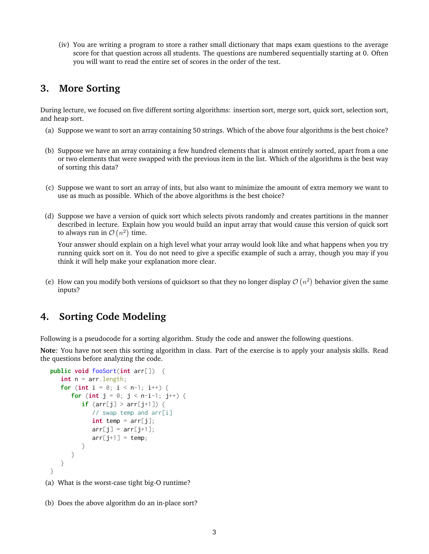(iv) You are writing a program to store a rather small dictionary that maps exam questions to the average score for that question across all students. The questions are numbered sequentially starting at 0. Often you will want to read the entire set of scores in the order of the test.

### **3. More Sorting**

During lecture, we focused on five different sorting algorithms: insertion sort, merge sort, quick sort, selection sort, and heap sort.

- (a) Suppose we want to sort an array containing 50 strings. Which of the above four algorithms is the best choice?
- (b) Suppose we have an array containing a few hundred elements that is almost entirely sorted, apart from a one or two elements that were swapped with the previous item in the list. Which of the algorithms is the best way of sorting this data?
- (c) Suppose we want to sort an array of ints, but also want to minimize the amount of extra memory we want to use as much as possible. Which of the above algorithms is the best choice?
- (d) Suppose we have a version of quick sort which selects pivots randomly and creates partitions in the manner described in lecture. Explain how you would build an input array that would cause this version of quick sort to always run in  $\mathcal{O}(n^2)$  time.

Your answer should explain on a high level what your array would look like and what happens when you try running quick sort on it. You do not need to give a specific example of such a array, though you may if you think it will help make your explanation more clear.

(e) How can you modify both versions of quicksort so that they no longer display  $\mathcal{O}(n^2)$  behavior given the same inputs?

# **4. Sorting Code Modeling**

Following is a pseudocode for a sorting algorithm. Study the code and answer the following questions.

**Note**: You have not seen this sorting algorithm in class. Part of the exercise is to apply your analysis skills. Read the questions before analyzing the code.

```
public void fooSort(int arr[]) {
  int n = arr.length;
  for (int i = 0; i < n-1; i++) {
     for (int j = 0; j < n-i-1; j++) {
         if (arr[j] > arr[j+1]) {
            // swap temp and arr[i]
            int temp = arr[j];arr[j] = arr[j+1];arr[j+1] = temp;}
     }
  }
}
```
- (a) What is the worst-case tight big-O runtime?
- (b) Does the above algorithm do an in-place sort?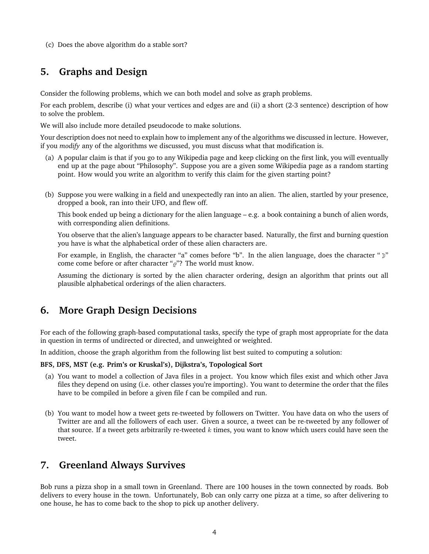(c) Does the above algorithm do a stable sort?

## **5. Graphs and Design**

Consider the following problems, which we can both model and solve as graph problems.

For each problem, describe (i) what your vertices and edges are and (ii) a short (2-3 sentence) description of how to solve the problem.

We will also include more detailed pseudocode to make solutions.

Your description does not need to explain how to implement any of the algorithms we discussed in lecture. However, if you *modify* any of the algorithms we discussed, you must discuss what that modification is.

- (a) A popular claim is that if you go to any Wikipedia page and keep clicking on the first link, you will eventually end up at the page about "Philosophy". Suppose you are a given some Wikipedia page as a random starting point. How would you write an algorithm to verify this claim for the given starting point?
- (b) Suppose you were walking in a field and unexpectedly ran into an alien. The alien, startled by your presence, dropped a book, ran into their UFO, and flew off.

This book ended up being a dictionary for the alien language – e.g. a book containing a bunch of alien words, with corresponding alien definitions.

You observe that the alien's language appears to be character based. Naturally, the first and burning question you have is what the alphabetical order of these alien characters are.

For example, in English, the character "a" comes before "b". In the alien language, does the character " $\mathcal{V}$ " come come before or after character " $\rho$ "? The world must know.

Assuming the dictionary is sorted by the alien character ordering, design an algorithm that prints out all plausible alphabetical orderings of the alien characters.

# **6. More Graph Design Decisions**

For each of the following graph-based computational tasks, specify the type of graph most appropriate for the data in question in terms of undirected or directed, and unweighted or weighted.

In addition, choose the graph algorithm from the following list best suited to computing a solution:

#### **BFS, DFS, MST (e.g. Prim's or Kruskal's), Dijkstra's, Topological Sort**

- (a) You want to model a collection of Java files in a project. You know which files exist and which other Java files they depend on using (i.e. other classes you're importing). You want to determine the order that the files have to be compiled in before a given file f can be compiled and run.
- (b) You want to model how a tweet gets re-tweeted by followers on Twitter. You have data on who the users of Twitter are and all the followers of each user. Given a source, a tweet can be re-tweeted by any follower of that source. If a tweet gets arbitrarily re-tweeted  $k$  times, you want to know which users could have seen the tweet.

## **7. Greenland Always Survives**

Bob runs a pizza shop in a small town in Greenland. There are 100 houses in the town connected by roads. Bob delivers to every house in the town. Unfortunately, Bob can only carry one pizza at a time, so after delivering to one house, he has to come back to the shop to pick up another delivery.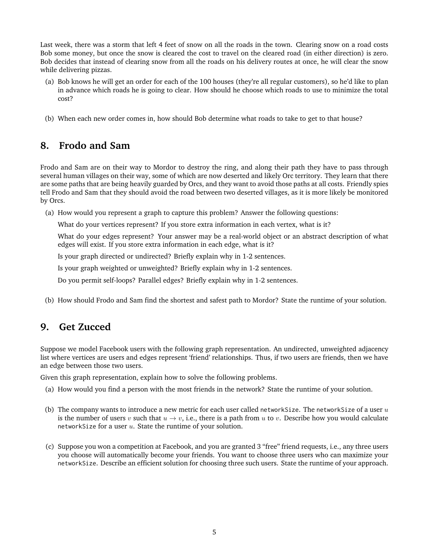Last week, there was a storm that left 4 feet of snow on all the roads in the town. Clearing snow on a road costs Bob some money, but once the snow is cleared the cost to travel on the cleared road (in either direction) is zero. Bob decides that instead of clearing snow from all the roads on his delivery routes at once, he will clear the snow while delivering pizzas.

- (a) Bob knows he will get an order for each of the 100 houses (they're all regular customers), so he'd like to plan in advance which roads he is going to clear. How should he choose which roads to use to minimize the total cost?
- (b) When each new order comes in, how should Bob determine what roads to take to get to that house?

# **8. Frodo and Sam**

Frodo and Sam are on their way to Mordor to destroy the ring, and along their path they have to pass through several human villages on their way, some of which are now deserted and likely Orc territory. They learn that there are some paths that are being heavily guarded by Orcs, and they want to avoid those paths at all costs. Friendly spies tell Frodo and Sam that they should avoid the road between two deserted villages, as it is more likely be monitored by Orcs.

(a) How would you represent a graph to capture this problem? Answer the following questions:

What do your vertices represent? If you store extra information in each vertex, what is it?

What do your edges represent? Your answer may be a real-world object or an abstract description of what edges will exist. If you store extra information in each edge, what is it?

Is your graph directed or undirected? Briefly explain why in 1-2 sentences.

Is your graph weighted or unweighted? Briefly explain why in 1-2 sentences.

Do you permit self-loops? Parallel edges? Briefly explain why in 1-2 sentences.

(b) How should Frodo and Sam find the shortest and safest path to Mordor? State the runtime of your solution.

## **9. Get Zucced**

Suppose we model Facebook users with the following graph representation. An undirected, unweighted adjacency list where vertices are users and edges represent 'friend' relationships. Thus, if two users are friends, then we have an edge between those two users.

Given this graph representation, explain how to solve the following problems.

- (a) How would you find a person with the most friends in the network? State the runtime of your solution.
- (b) The company wants to introduce a new metric for each user called networkSize. The networkSize of a user  $u$ is the number of users v such that  $u \to v$ , i.e., there is a path from u to v. Describe how you would calculate networkSize for a user  $u$ . State the runtime of your solution.
- (c) Suppose you won a competition at Facebook, and you are granted 3 "free" friend requests, i.e., any three users you choose will automatically become your friends. You want to choose three users who can maximize your networkSize. Describe an efficient solution for choosing three such users. State the runtime of your approach.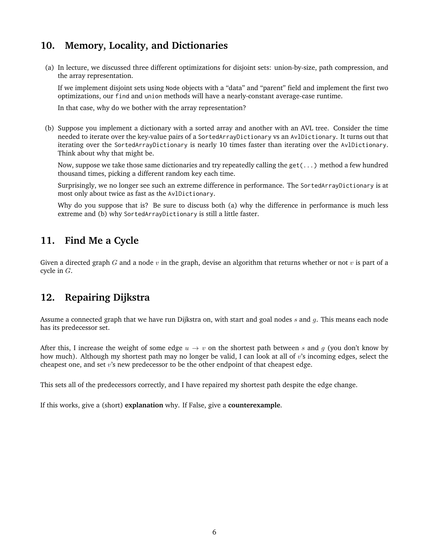# **10. Memory, Locality, and Dictionaries**

(a) In lecture, we discussed three different optimizations for disjoint sets: union-by-size, path compression, and the array representation.

If we implement disjoint sets using Node objects with a "data" and "parent" field and implement the first two optimizations, our find and union methods will have a nearly-constant average-case runtime.

In that case, why do we bother with the array representation?

(b) Suppose you implement a dictionary with a sorted array and another with an AVL tree. Consider the time needed to iterate over the key-value pairs of a SortedArrayDictionary vs an AvlDictionary. It turns out that iterating over the SortedArrayDictionary is nearly 10 times faster than iterating over the AvlDictionary. Think about why that might be.

Now, suppose we take those same dictionaries and try repeatedly calling the get(...) method a few hundred thousand times, picking a different random key each time.

Surprisingly, we no longer see such an extreme difference in performance. The SortedArrayDictionary is at most only about twice as fast as the AvlDictionary.

Why do you suppose that is? Be sure to discuss both (a) why the difference in performance is much less extreme and (b) why SortedArrayDictionary is still a little faster.

## **11. Find Me a Cycle**

Given a directed graph G and a node v in the graph, devise an algorithm that returns whether or not v is part of a cycle in G.

# **12. Repairing Dijkstra**

Assume a connected graph that we have run Dijkstra on, with start and goal nodes  $s$  and  $q$ . This means each node has its predecessor set.

After this, I increase the weight of some edge  $u \to v$  on the shortest path between s and q (you don't know by how much). Although my shortest path may no longer be valid, I can look at all of  $v$ 's incoming edges, select the cheapest one, and set  $v$ 's new predecessor to be the other endpoint of that cheapest edge.

This sets all of the predecessors correctly, and I have repaired my shortest path despite the edge change.

If this works, give a (short) **explanation** why. If False, give a **counterexample**.